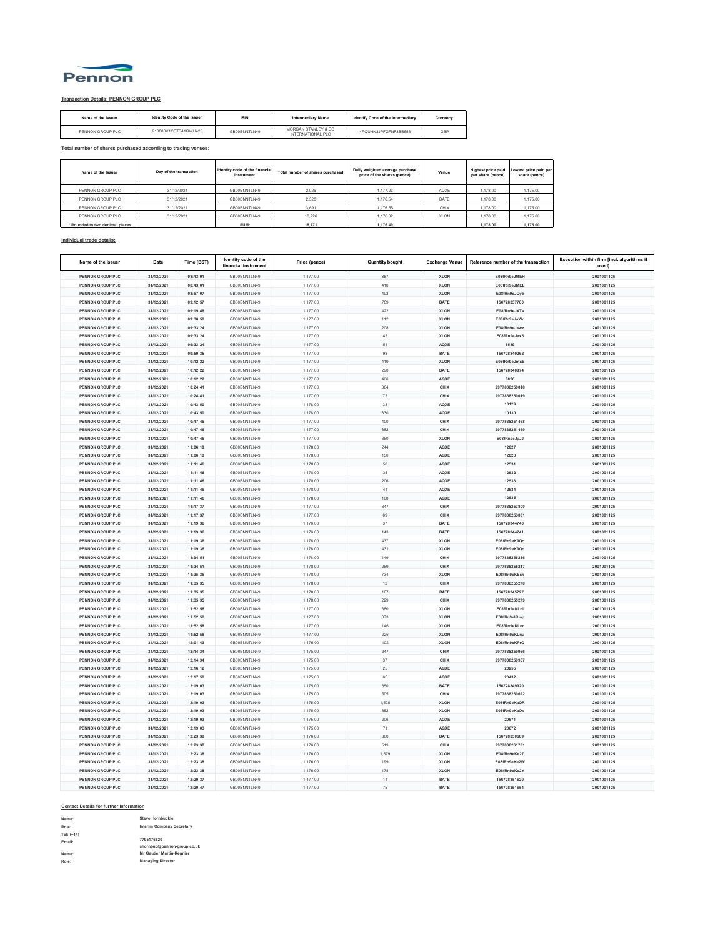

## **Transaction Details: PENNON GROUP PLC**

| Name of the Issuer | Identity Code of the Issuer | <b>ISIN</b>  | <b>Intermediary Name</b>                 | Identify Code of the Intermediary | Currency |
|--------------------|-----------------------------|--------------|------------------------------------------|-----------------------------------|----------|
| PENNON GROUP PLC   | 213800V1CCTS41GWH423        | GB00BNNTLN49 | MORGAN STANLEY & CO<br>INTERNATIONAL PLC | 4PQUHN3JPFGFNF3BB653              | GBP      |

**Total number of shares purchased according to trading venues:**

| Name of the Issuer            | Day of the transaction | Identity code of the financial<br>instrument | Total number of shares purchased | Daily weighted average purchase<br>price of the shares (pence) | Venue | <b>Highest price paid</b><br>per share (pence) | Lowest price paid per<br>share (pence) |
|-------------------------------|------------------------|----------------------------------------------|----------------------------------|----------------------------------------------------------------|-------|------------------------------------------------|----------------------------------------|
| PENNON GROUP PLC              | 31/12/2021             | GB00BNNTLN49                                 | 2.026                            | 1.177.23                                                       | AQXE  | 1.178.00                                       | 1.175.00                               |
| PENNON GROUP PLC              | 31/12/2021             | GB00BNNTLN49                                 | 2.328                            | 1.176.54                                                       | BATE  | 1.178.00                                       | 1.175.00                               |
| PENNON GROUP PLC              | 31/12/2021             | GB00BNNTLN49                                 | 3.691                            | 1.176.55                                                       | CHIX  | 1.178.00                                       | 1.175.00                               |
| PENNON GROUP PLC              | 31/12/2021             | GB00BNNTLN49                                 | 10.726                           | 1.176.32                                                       | XLON  | 1.178.00                                       | 1.175.00                               |
| Rounded to two decimal places |                        | SUM:                                         | 18,771                           | 1.176.49                                                       |       | 1.178.00                                       | 1.175.00                               |

## **Individual trade details:**

| Name of the Issuer                          | Date                     | Time (BST)           | Identity code of the<br>financial instrument | Price (pence)        | <b>Quantity bought</b> | <b>Exchange Venue</b> | Reference number of the transaction | Execution within firm [incl. algorithms if<br>used] |
|---------------------------------------------|--------------------------|----------------------|----------------------------------------------|----------------------|------------------------|-----------------------|-------------------------------------|-----------------------------------------------------|
| PENNON GROUP PLC                            | 31/12/2021               | 08:43:01             | GB00BNNTLN49                                 | 1,177.00             | 887                    | XLON                  | E08fRn9eJMEH                        | 2001001125                                          |
| PENNON GROUP PLC                            | 31/12/2021               | 08:43:01             | GB00BNNTLN49                                 | 1,177.00             | 410                    | <b>XLON</b>           | E08fRn9e, IMEL                      | 2001001125                                          |
| <b>PENNON GROUP PLC</b>                     | 31/12/2021               | 08:57:07             | GB00BNNTLN49                                 | 1,177.00             | 403                    | <b>XLON</b>           | E08fRn9eJQv5                        | 2001001125                                          |
| PENNON GROUP PLC                            | 31/12/2021               | 09:12:57             | GB00BNNTLN49                                 | 1,177.00             | 789                    | BATE                  | 156728337780                        | 2001001125                                          |
| <b>PENNON GROUP PLC</b>                     | 31/12/2021               | 09:19:48             | GB00BNNTLN49                                 | 1,177.00             | 422                    | <b>XLON</b>           | E08fRn9eJXTs                        | 2001001125                                          |
| PENNON GROUP PLC                            | 31/12/2021               | 09:30:50             | GB00BNNTLN49                                 | 1,177.00             | 112                    | <b>XLON</b>           | E08fRn9e.laWc                       | 2001001125                                          |
| PENNON GROUP PLC                            | 31/12/2021               | 09:33:24             | GB00BNNTLN49                                 | 1,177.00             | 208                    | <b>XLON</b>           | E08fRn9eJawz                        | 2001001125                                          |
| PENNON GROUP PLC                            | 31/12/2021               | 09:33:24             | GB00BNNTLN49                                 | 1,177.00             | $42\,$                 | <b>XLON</b>           | E08fRn9eJax5                        | 2001001125                                          |
| PENNON GROUP PLC                            | 31/12/2021               | 09:33:24             | GB00BNNTLN49                                 | 1,177.00             | 51                     | AQXE                  | 5539                                | 2001001125                                          |
| <b>PENNON GROUP PLC</b>                     | 31/12/2021               | 09:59:35             | GB00BNNTLN49                                 | 1,177.00             | 98                     | <b>BATE</b>           | 156728340262                        | 2001001125                                          |
| PENNON GROUP PLC                            | 31/12/2021               | 10:12:22             | GB00BNNTLN49                                 | 1,177.00             | 410                    | <b>XLON</b>           | E08fRn9eJmxB                        | 2001001125                                          |
| PENNON GROUP PLC                            | 31/12/2021               | 10:12:22             | GB00BNNTLN49                                 | 1,177.00             | 298                    | BATE                  | 156728340974                        | 2001001125                                          |
| PENNON GROUP PLC                            | 31/12/2021               | 10:12:22             | GB00BNNTLN49                                 | 1,177.00             | 406                    | AQXE                  | 8026                                | 2001001125                                          |
| PENNON GROUP PLC                            | 31/12/2021               | 10:24:41             | GB00BNNTLN49                                 | 1.177.00             | 364                    | CHIX                  | 2977838250018                       | 2001001125                                          |
| PENNON GROUP PLC                            | 31/12/2021               | 10:24:41             | GB00BNNTLN49                                 | 1,177.00             | $\scriptstyle{72}$     | CHIX                  | 2977838250019                       | 2001001125                                          |
| PENNON GROUP PLC                            | 31/12/2021               | 10:43:50             | GB00BNNTLN49                                 | 1,178.00             | 38                     | AQXE                  | 10129                               | 2001001125                                          |
| <b>PENNON GROUP PLC</b>                     | 31/12/2021               | 10:43:50             | GB00BNNTLN49                                 | 1,178.00             | 330                    | AQXE                  | 10130                               | 2001001125                                          |
| <b>PENNON GROUP PLC</b>                     | 31/12/2021               | 10:47:46             | GB00BNNTLN49                                 | 1,177.00             | 400                    | CHIX                  | 2977838251468                       | 2001001125                                          |
| PENNON GROUP PLC                            | 31/12/2021               | 10:47:46             | GB00BNNTLN49                                 | 1.177.00             | 382                    | CHIX                  | 2977838251469                       | 2001001125                                          |
| PENNON GROUP PLC                            | 31/12/2021               | 10:47:46             | GB00BNNTLN49                                 | 1,177.00             | 360                    | <b>XLON</b>           | E08fRn9eJyJJ                        | 2001001125                                          |
| <b>PENNON GROUP PLC</b>                     | 31/12/2021               | 11:06:19             | GB00BNNTLN49                                 |                      | 244                    | AQXE                  | 12027                               | 2001001125                                          |
| <b>PENNON GROUP PLC</b>                     | 31/12/2021               | 11:06:19             | GB00BNNTLN49                                 | 1,178.00<br>1.178.00 | 150                    | AQXE                  | 12028                               | 2001001125                                          |
| <b>PENNON GROUP PLC</b>                     | 31/12/2021               | 11:11:46             | GB00BNNTLN49                                 | 1.178.00             | 50                     | AQXE                  | 12531                               | 2001001125                                          |
|                                             |                          |                      |                                              |                      |                        |                       |                                     |                                                     |
| PENNON GROUP PLC                            | 31/12/2021               | 11:11:46             | GB00BNNTLN49                                 | 1,178.00             | $35\,$                 | AQXE                  | 12532                               | 2001001125                                          |
| PENNON GROUP PLC<br><b>PENNON GROUP PLC</b> | 31/12/2021<br>31/12/2021 | 11:11:46<br>11:11:46 | GB00BNNTLN49<br>GB00BNNTLN49                 | 1,178.00<br>1.178.00 | 206<br>41              | AQXE<br>AQXE          | 12533<br>12534                      | 2001001125<br>2001001125                            |
| <b>PENNON GROUP PLC</b>                     | 31/12/2021               | 11:11:46             | GB00BNNTLN49                                 |                      | 108                    |                       | 12535                               |                                                     |
|                                             |                          |                      |                                              | 1,178.00             |                        | AQXE                  |                                     | 2001001125                                          |
| PENNON GROUP PLC                            | 31/12/2021               | 11:17:37             | GB00BNNTLN49                                 | 1,177.00             | 347                    | CHIX                  | 2977838253800                       | 2001001125                                          |
| PENNON GROUP PLC<br><b>PENNON GROUP PLC</b> | 31/12/2021<br>31/12/2021 | 11:17:37<br>11:19:36 | GB00BNNTLN49<br>GB00BNNTLN49                 | 1,177.00<br>1.176.00 | 69<br>37               | CHIX<br>BATE          | 2977838253801<br>156728344740       | 2001001125<br>2001001125                            |
|                                             | 31/12/2021               |                      | GB00BNNTLN49                                 |                      | 143                    | BATE                  |                                     |                                                     |
| PENNON GROUP PLC<br>PENNON GROUP PLC        | 31/12/2021               | 11:19:36             | GB00BNNTLN49                                 | 1,176.00             | 437                    |                       | 156728344741<br>E08fRn9eK9Qo        | 2001001125<br>2001001125                            |
|                                             |                          | 11:19:36             |                                              | 1,176.00             |                        | XLON                  |                                     |                                                     |
| PENNON GROUP PLC<br><b>PENNON GROUP PLC</b> | 31/12/2021<br>31/12/2021 | 11:19:36             | GB00BNNTLN49<br>GB00BNNTLN49                 | 1,176.00             | 431<br>149             | XLON<br>CHIX          | E08fRn9eK9Qq<br>2977838255216       | 2001001125<br>2001001125                            |
|                                             | 31/12/2021               | 11:34:51<br>11:34:51 |                                              | 1,178.00             | 259                    |                       |                                     |                                                     |
| PENNON GROUP PLC<br><b>PENNON GROUP PLC</b> |                          |                      | GB00BNNTLN49                                 | 1,178.00             | 734                    | CHIX                  | 2977838255217<br>E08fRn9eKEsk       | 2001001125                                          |
| <b>PENNON GROUP PLC</b>                     | 31/12/2021<br>31/12/2021 | 11:35:35<br>11:35:35 | GB00BNNTLN49<br>GB00BNNTLN49                 | 1,178.00<br>1,178.00 | $12\,$                 | XLON<br>CHIX          | 2977838255278                       | 2001001125<br>2001001125                            |
| PENNON GROUP PLC                            |                          | 11:35:35             | GB00BNNTLN49                                 | 1.178.00             | 167                    |                       | 156728345727                        | 2001001125                                          |
|                                             | 31/12/2021               | 11:35:35             |                                              |                      | 229                    | BATE<br>CHIX          |                                     |                                                     |
| PENNON GROUP PLC<br><b>PENNON GROUP PLC</b> | 31/12/2021               |                      | GB00BNNTLN49                                 | 1,178.00             |                        |                       | 2977838255279                       | 2001001125                                          |
|                                             | 31/12/2021               | 11:52:58             | GB00BNNTLN49                                 | 1,177.00             | 380                    | <b>XLON</b>           | E08fRn9eKLnl                        | 2001001125                                          |
| PENNON GROUP PLC                            | 31/12/2021               | 11:52:58             | GB00BNNTLN49                                 | 1,177.00             | 373                    | <b>XLON</b>           | E08fRn9eKLnp                        | 2001001125                                          |
| PENNON GROUP PLC                            | 31/12/2021               | 11:52:58             | GB00BNNTLN49                                 | 1,177.00             | 146                    | <b>XLON</b>           | E08fRn9eKLnr                        | 2001001125                                          |
| PENNON GROUP PLC                            | 31/12/2021               | 11:52:58             | GB00BNNTLN49                                 | 1,177.00             | 226                    | <b>XLON</b>           | E08fRn9eKLnu                        | 2001001125                                          |
| <b>PENNON GROUP PLC</b>                     | 31/12/2021               | 12:01:43             | GB00BNNTLN49                                 | 1,176.00             | 402                    | <b>XLON</b>           | E08fRn9eKPrQ                        | 2001001125                                          |
| PENNON GROUP PLC                            | 31/12/2021               | 12:14:34             | GB00BNNTLN49                                 | 1,175.00             | 347                    | CHIX                  | 2977838259966                       | 2001001125                                          |
| PENNON GROUP PLC                            | 31/12/2021               | 12:14:34             | GB00BNNTLN49                                 | 1,175.00             | 37                     | CHIX                  | 2977838259967                       | 2001001125                                          |
| PENNON GROUP PLC                            | 31/12/2021               | 12:16:12             | GB00BNNTLN49                                 | 1,175.00             | 25                     | AQXE                  | 20255                               | 2001001125                                          |
| <b>PENNON GROUP PLC</b>                     | 31/12/2021               | 12:17:50             | GB00BNNTLN49                                 | 1,175.00             | 65                     | AQXE                  | 20432                               | 2001001125                                          |
| PENNON GROUP PLC                            | 31/12/2021               | 12:19:03             | GB00BNNTLN49                                 | 1,175.00             | 350                    | BATE                  | 156728349920                        | 2001001125                                          |
| PENNON GROUP PLC                            | 31/12/2021               | 12:19:03             | GB00BNNTLN49                                 | 1,175.00             | 505                    | CHIX                  | 2977838260692                       | 2001001125                                          |
| PENNON GROUP PLC                            | 31/12/2021               | 12:19:03             | GB00BNNTLN49                                 | 1,175.00             | 1,535                  | <b>XLON</b>           | E08fRn9eKaOR                        | 2001001125                                          |
| PENNON GROUP PLC                            | 31/12/2021               | 12:19:03             | GB00BNNTLN49                                 | 1,175.00             | 852                    | XLON                  | E08fRn9eKaOV                        | 2001001125                                          |
| <b>PENNON GROUP PLC</b>                     | 31/12/2021               | 12:19:03             | GB00BNNTLN49                                 | 1,175.00             | 206                    | AQXE                  | 20671                               | 2001001125                                          |
| PENNON GROUP PLC                            | 31/12/2021               | 12:19:03             | GB00BNNTLN49                                 | 1,175.00             | $71\,$                 | AQXE                  | 20672                               | 2001001125                                          |
| PENNON GROUP PLC                            | 31/12/2021               | 12:23:38             | GB00BNNTLN49                                 | 1,176.00             | 360                    | BATE                  | 156728350689                        | 2001001125                                          |
| <b>PENNON GROUP PLC</b>                     | 31/12/2021               | 12:23:38             | GB00BNNTLN49                                 | 1,176.00             | 519                    | CHIX                  | 2977838261781                       | 2001001125                                          |
| PENNON GROUP PLC                            | 31/12/2021               | 12:23:38             | GB00BNNTLN49                                 | 1.176.00             | 1.579                  | <b>XLON</b>           | E08fRn9eKe27                        | 2001001125                                          |
| PENNON GROUP PLC                            | 31/12/2021               | 12:23:38             | GB00BNNTLN49                                 | 1,176.00             | 199                    | <b>XLON</b>           | E08fRn9eKe2W                        | 2001001125                                          |
| PENNON GROUP PLC                            | 31/12/2021               | 12:23:38             | GB00BNNTLN49                                 | 1,176.00             | 178                    | <b>XLON</b>           | E08fRn9eKe2Y                        | 2001001125                                          |
| <b>PENNON GROUP PLC</b>                     | 31/12/2021               | 12:29:37             | GB00BNNTLN49                                 | 1,177.00             | 11                     | BATE                  | 156728351620                        | 2001001125                                          |
| PENNON GROUP PLC                            | 31/12/2021               | 12:29:47             | GB00BNNTLN49                                 | 1,177.00             | 75                     | BATE                  | 156728351654                        | 2001001125                                          |

## **Contact Details for further Information**

| Name:                | Steve Hornbuckle                                             |
|----------------------|--------------------------------------------------------------|
| Role:                | <b>Interim Company Secretary</b>                             |
| Tel: (+44)<br>Fmail: | 7795176520<br>shornbuc@pennon-group.co.uk                    |
| Name:<br>Role:       | <b>Mr Gautier Martin-Regnier</b><br><b>Managing Director</b> |
|                      |                                                              |